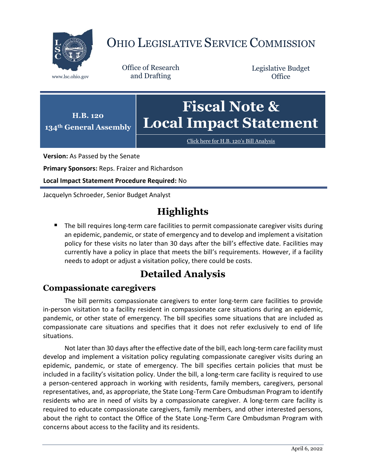

# OHIO LEGISLATIVE SERVICE COMMISSION

Office of Research www.lsc.ohio.gov and Drafting

Legislative Budget **Office** 



[Click here for H.B. 120](https://www.legislature.ohio.gov/legislation/legislation-documents?id=GA134-HB-120)'s Bill Analysis

**Version:** As Passed by the Senate

**Primary Sponsors:** Reps. Fraizer and Richardson

**Local Impact Statement Procedure Required:** No

Jacquelyn Schroeder, Senior Budget Analyst

## **Highlights**

 The bill requires long-term care facilities to permit compassionate caregiver visits during an epidemic, pandemic, or state of emergency and to develop and implement a visitation policy for these visits no later than 30 days after the bill's effective date. Facilities may currently have a policy in place that meets the bill's requirements. However, if a facility needs to adopt or adjust a visitation policy, there could be costs.

## **Detailed Analysis**

### **Compassionate caregivers**

The bill permits compassionate caregivers to enter long-term care facilities to provide in-person visitation to a facility resident in compassionate care situations during an epidemic, pandemic, or other state of emergency. The bill specifies some situations that are included as compassionate care situations and specifies that it does not refer exclusively to end of life situations.

Not later than 30 days after the effective date of the bill, each long-term care facility must develop and implement a visitation policy regulating compassionate caregiver visits during an epidemic, pandemic, or state of emergency. The bill specifies certain policies that must be included in a facility's visitation policy. Under the bill, a long-term care facility is required to use a person-centered approach in working with residents, family members, caregivers, personal representatives, and, as appropriate, the State Long-Term Care Ombudsman Program to identify residents who are in need of visits by a compassionate caregiver. A long-term care facility is required to educate compassionate caregivers, family members, and other interested persons, about the right to contact the Office of the State Long-Term Care Ombudsman Program with concerns about access to the facility and its residents.